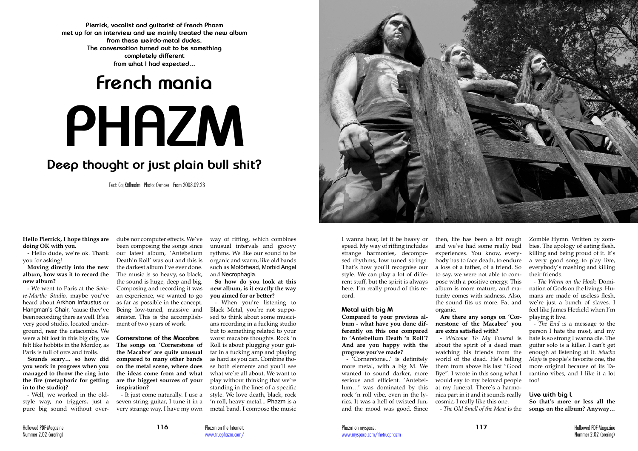**Hello Pierrick, I hope things are doing OK with you.** 

you for asking!

**Moving directly into the new album, how was it to record the new album?** 

- We went to Paris at the *Sainte-Marthe Studio*, maybe you've heard about Arkhon Infaustus or Hangman's Chair, 'cause they've been recording there as well. It's a very good studio, located underground, near the catacombs. We were a bit lost in this big city, we felt like hobbits in the Mordor, as Paris is full of orcs and trolls.

**Sounds scary… so how did you work in progress when you managed to throw the ring into the fire (metaphoric for getting in to the studio)?** 

- Well, we worked in the oldstyle way, no triggers, just a pure big sound without over-

- Hello dude, we're ok. Thank our latest album, 'Antebellum dubs nor computer effects. We've been composing the songs since Death'n Roll' was out and this is the darkest album I've ever done. The music is so heavy, so black, the sound is huge, deep and big. Composing and recording it was an experience, we wanted to go as far as possible in the concept. Being low-tuned, massive and sinister. This is the accomplishment of two years of work.

# **French mania PHAZM**

# **Deep thought or just plain bull shit?**

**Pierrick, vocalist and guitarist of French Phazm met up for an interview and we mainly treated the new album from these weirdo-metal dudes. The conversation turned out to be something completely different from what I had expected...**

> **Cornerstone of the Macabre The songs on 'Cornerstone of the Macabre' are quite unusual compared to many other bands on the metal scene, where does the ideas come from and what are the biggest sources of your inspiration?**

> - It just come naturally. I use a seven string guitar, I tune it in a very strange way. I have my own

way of riffing, which combines unusual intervals and groovy rythms. We like our sound to be organic and warm, like old bands such as Motörhead, Morbid Angel and Necrophagia.

# **So how do you look at this new album, is it exactly the way you aimed for or better?**

- When you're listening to Black Metal, you're not supposed to think about some musicians recording in a fucking studio but to something related to your worst macabre thoughts. Rock 'n Roll is about plugging your guitar in a fucking amp and playing as hard as you can. Combine those both elements and you'll see what we're all about. We want to play without thinking that we're standing in the lines of a specific style. We love death, black, rock 'n roll, heavy metal... Phazm is a metal band. I compose the music



## **Metal with big M**

**Compared to your previous album - what have you done differently on this one compared to 'Antebellum Death 'n Roll'? And are you happy with the progress you've made?** 

- 'Cornerstone...' is definitely more metal, with a big M. We wanted to sound darker, more serious and efficient. 'Antebellum…' was dominated by this rock 'n roll vibe, even in the lyrics. It was a hell of twisted fun, and the mood was good. Since

then, life has been a bit rough and we've had some really bad experiences. You know, everybody has to face death, to endure a loss of a father, of a friend. So to say, we were not able to compose with a positive energy. This album is more mature, and maturity comes with sadness. Also, the sound fits us more. Fat and organic.

**Are there any songs on 'Cornerstone of the Macabre' you are extra satisfied with?** 

- *Welcome To My Funeral* is about the spirit of a dead man watching his friends from the world of the dead. He's telling them from above his last "Good Bye". I wrote in this song what I would say to my beloved people at my funeral. There's a harmonica part in it and it sounds really cosmic, I really like this one. - *The Old Smell of the Meat* is the Zombie Hymn. Written by zombies. The apology of eating flesh, killing and being proud of it. It's a very good song to play live, everybody's mashing and killing their friends.

- *The Worm on the Hook*: Domination of Gods on the livings. Humans are made of useless flesh, we're just a bunch of slaves. I feel like James Hetfield when I'm playing it live.

- *The End* is a message to the person I hate the most, and my hate is so strong I wanna die. The guitar solo is a killer. I can't get enough at listening at it. *Mucho Mojo* is people's favorite one, the more original because of its Tarantino vibes, and I like it a lot too!

# **Live with big L**

**So that's more or less all the songs on the album? Anyway…** 

Text: Caj Källmalm Photo: Osmose From 2008.09.23